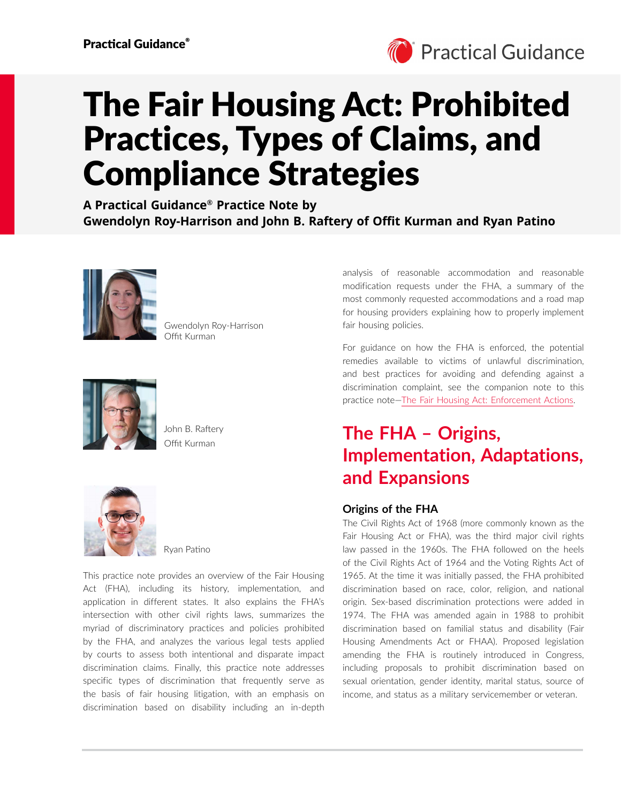

# The Fair Housing Act: Prohibited Practices, Types of Claims, and Compliance Strategies

**A Practical Guidance® Practice Note by Gwendolyn Roy-Harrison and John B. Raftery of Offit Kurman and Ryan Patino**



Gwendolyn Roy-Harrison Offit Kurman



Offit Kurman John B. Raftery



Ryan Patino

This practice note provides an overview of the Fair Housing Act (FHA), including its history, implementation, and application in different states. It also explains the FHA's intersection with other civil rights laws, summarizes the myriad of discriminatory practices and policies prohibited by the FHA, and analyzes the various legal tests applied by courts to assess both intentional and disparate impact discrimination claims. Finally, this practice note addresses specific types of discrimination that frequently serve as the basis of fair housing litigation, with an emphasis on discrimination based on disability including an in-depth

analysis of reasonable accommodation and reasonable modification requests under the FHA, a summary of the most commonly requested accommodations and a road map for housing providers explaining how to properly implement fair housing policies.

For guidance on how the FHA is enforced, the potential remedies available to victims of unlawful discrimination, and best practices for avoiding and defending against a discrimination complaint, see the companion note to this practice note[—The Fair Housing Act: Enforcement Actions](https://advance.lexis.com/open/document/lpadocument/?pdmfid=1000522&pddocfullpath=%2Fshared%2Fdocument%2Fanalytical-materials%2Furn%3AcontentItem%3A63V3-X4K1-JXG3-X2TK-00000-00&pdcontentcomponentid=500749&pdteaserkey=sr0&pditab=allpods&ecomp=ztrg&earg=sr0).

# **The FHA – Origins, Implementation, Adaptations, and Expansions**

# **Origins of the FHA**

The Civil Rights Act of 1968 (more commonly known as the Fair Housing Act or FHA), was the third major civil rights law passed in the 1960s. The FHA followed on the heels of the Civil Rights Act of 1964 and the Voting Rights Act of 1965. At the time it was initially passed, the FHA prohibited discrimination based on race, color, religion, and national origin. Sex-based discrimination protections were added in 1974. The FHA was amended again in 1988 to prohibit discrimination based on familial status and disability (Fair Housing Amendments Act or FHAA). Proposed legislation amending the FHA is routinely introduced in Congress, including proposals to prohibit discrimination based on sexual orientation, gender identity, marital status, source of income, and status as a military servicemember or veteran.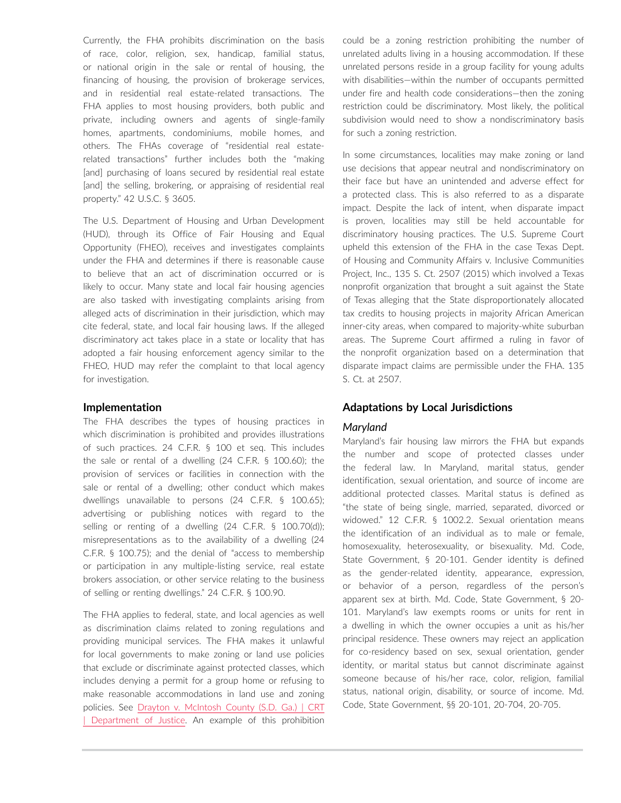Currently, the FHA prohibits discrimination on the basis of race, color, religion, sex, handicap, familial status, or national origin in the sale or rental of housing, the financing of housing, the provision of brokerage services, and in residential real estate-related transactions. The FHA applies to most housing providers, both public and private, including owners and agents of single-family homes, apartments, condominiums, mobile homes, and others. The FHAs coverage of "residential real estaterelated transactions" further includes both the "making [and] purchasing of loans secured by residential real estate [and] the selling, brokering, or appraising of residential real property." 42 U.S.C. § 3605.

The U.S. Department of Housing and Urban Development (HUD), through its Office of Fair Housing and Equal Opportunity (FHEO), receives and investigates complaints under the FHA and determines if there is reasonable cause to believe that an act of discrimination occurred or is likely to occur. Many state and local fair housing agencies are also tasked with investigating complaints arising from alleged acts of discrimination in their jurisdiction, which may cite federal, state, and local fair housing laws. If the alleged discriminatory act takes place in a state or locality that has adopted a fair housing enforcement agency similar to the FHEO, HUD may refer the complaint to that local agency for investigation.

### **Implementation**

The FHA describes the types of housing practices in which discrimination is prohibited and provides illustrations of such practices. 24 C.F.R. § 100 et seq. This includes the sale or rental of a dwelling (24 C.F.R. § 100.60); the provision of services or facilities in connection with the sale or rental of a dwelling; other conduct which makes dwellings unavailable to persons (24 C.F.R. § 100.65); advertising or publishing notices with regard to the selling or renting of a dwelling (24 C.F.R. § 100.70(d)); misrepresentations as to the availability of a dwelling (24 C.F.R. § 100.75); and the denial of "access to membership or participation in any multiple-listing service, real estate brokers association, or other service relating to the business of selling or renting dwellings." 24 C.F.R. § 100.90.

The FHA applies to federal, state, and local agencies as well as discrimination claims related to zoning regulations and providing municipal services. The FHA makes it unlawful for local governments to make zoning or land use policies that exclude or discriminate against protected classes, which includes denying a permit for a group home or refusing to make reasonable accommodations in land use and zoning policies. See [Drayton v. McIntosh County \(S.D. Ga.\) | CRT](https://www.justice.gov/crt/case/drayton-v-mcintosh-county-sd-ga)  [| Department of Justice.](https://www.justice.gov/crt/case/drayton-v-mcintosh-county-sd-ga) An example of this prohibition could be a zoning restriction prohibiting the number of unrelated adults living in a housing accommodation. If these unrelated persons reside in a group facility for young adults with disabilities—within the number of occupants permitted under fire and health code considerations—then the zoning restriction could be discriminatory. Most likely, the political subdivision would need to show a nondiscriminatory basis for such a zoning restriction.

In some circumstances, localities may make zoning or land use decisions that appear neutral and nondiscriminatory on their face but have an unintended and adverse effect for a protected class. This is also referred to as a disparate impact. Despite the lack of intent, when disparate impact is proven, localities may still be held accountable for discriminatory housing practices. The U.S. Supreme Court upheld this extension of the FHA in the case Texas Dept. of Housing and Community Affairs v. Inclusive Communities Project, Inc., 135 S. Ct. 2507 (2015) which involved a Texas nonprofit organization that brought a suit against the State of Texas alleging that the State disproportionately allocated tax credits to housing projects in majority African American inner-city areas, when compared to majority-white suburban areas. The Supreme Court affirmed a ruling in favor of the nonprofit organization based on a determination that disparate impact claims are permissible under the FHA. 135 S. Ct. at 2507.

### **Adaptations by Local Jurisdictions**

#### *Maryland*

Maryland's fair housing law mirrors the FHA but expands the number and scope of protected classes under the federal law. In Maryland, marital status, gender identification, sexual orientation, and source of income are additional protected classes. Marital status is defined as "the state of being single, married, separated, divorced or widowed." 12 C.F.R. § 1002.2. Sexual orientation means the identification of an individual as to male or female, homosexuality, heterosexuality, or bisexuality. Md. Code, State Government, § 20-101. Gender identity is defined as the gender-related identity, appearance, expression, or behavior of a person, regardless of the person's apparent sex at birth. Md. Code, State Government, § 20- 101. Maryland's law exempts rooms or units for rent in a dwelling in which the owner occupies a unit as his/her principal residence. These owners may reject an application for co-residency based on sex, sexual orientation, gender identity, or marital status but cannot discriminate against someone because of his/her race, color, religion, familial status, national origin, disability, or source of income. Md. Code, State Government, §§ 20-101, 20-704, 20-705.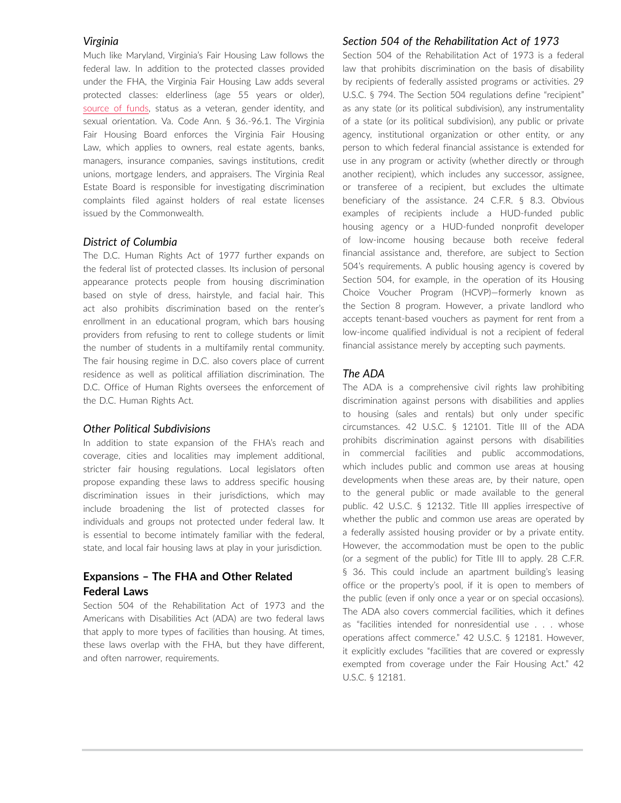### *Virginia*

Much like Maryland, Virginia's Fair Housing Law follows the federal law. In addition to the protected classes provided under the FHA, the Virginia Fair Housing Law adds several protected classes: elderliness (age 55 years or older), [source of funds,](https://equalrightscenter.org/virginia-new-fair-housing/) status as a veteran, gender identity, and sexual orientation. Va. Code Ann. § 36.-96.1. The Virginia Fair Housing Board enforces the Virginia Fair Housing Law, which applies to owners, real estate agents, banks, managers, insurance companies, savings institutions, credit unions, mortgage lenders, and appraisers. The Virginia Real Estate Board is responsible for investigating discrimination complaints filed against holders of real estate licenses issued by the Commonwealth.

### *District of Columbia*

The D.C. Human Rights Act of 1977 further expands on the federal list of protected classes. Its inclusion of personal appearance protects people from housing discrimination based on style of dress, hairstyle, and facial hair. This act also prohibits discrimination based on the renter's enrollment in an educational program, which bars housing providers from refusing to rent to college students or limit the number of students in a multifamily rental community. The fair housing regime in D.C. also covers place of current residence as well as political affiliation discrimination. The D.C. Office of Human Rights oversees the enforcement of the D.C. Human Rights Act.

### *Other Political Subdivisions*

In addition to state expansion of the FHA's reach and coverage, cities and localities may implement additional, stricter fair housing regulations. Local legislators often propose expanding these laws to address specific housing discrimination issues in their jurisdictions, which may include broadening the list of protected classes for individuals and groups not protected under federal law. It is essential to become intimately familiar with the federal, state, and local fair housing laws at play in your jurisdiction.

# **Expansions – The FHA and Other Related Federal Laws**

Section 504 of the Rehabilitation Act of 1973 and the Americans with Disabilities Act (ADA) are two federal laws that apply to more types of facilities than housing. At times, these laws overlap with the FHA, but they have different, and often narrower, requirements.

### *Section 504 of the Rehabilitation Act of 1973*

Section 504 of the Rehabilitation Act of 1973 is a federal law that prohibits discrimination on the basis of disability by recipients of federally assisted programs or activities. 29 U.S.C. § 794. The Section 504 regulations define "recipient" as any state (or its political subdivision), any instrumentality of a state (or its political subdivision), any public or private agency, institutional organization or other entity, or any person to which federal financial assistance is extended for use in any program or activity (whether directly or through another recipient), which includes any successor, assignee, or transferee of a recipient, but excludes the ultimate beneficiary of the assistance. 24 C.F.R. § 8.3. Obvious examples of recipients include a HUD-funded public housing agency or a HUD-funded nonprofit developer of low-income housing because both receive federal financial assistance and, therefore, are subject to Section 504's requirements. A public housing agency is covered by Section 504, for example, in the operation of its Housing Choice Voucher Program (HCVP)—formerly known as the Section 8 program. However, a private landlord who accepts tenant-based vouchers as payment for rent from a low-income qualified individual is not a recipient of federal financial assistance merely by accepting such payments.

# *The ADA*

The ADA is a comprehensive civil rights law prohibiting discrimination against persons with disabilities and applies to housing (sales and rentals) but only under specific circumstances. 42 U.S.C. § 12101. Title III of the ADA prohibits discrimination against persons with disabilities in commercial facilities and public accommodations, which includes public and common use areas at housing developments when these areas are, by their nature, open to the general public or made available to the general public. 42 U.S.C. § 12132. Title III applies irrespective of whether the public and common use areas are operated by a federally assisted housing provider or by a private entity. However, the accommodation must be open to the public (or a segment of the public) for Title III to apply. 28 C.F.R. § 36. This could include an apartment building's leasing office or the property's pool, if it is open to members of the public (even if only once a year or on special occasions). The ADA also covers commercial facilities, which it defines as "facilities intended for nonresidential use . . . whose operations affect commerce." 42 U.S.C. § 12181. However, it explicitly excludes "facilities that are covered or expressly exempted from coverage under the Fair Housing Act." 42 U.S.C. § 12181.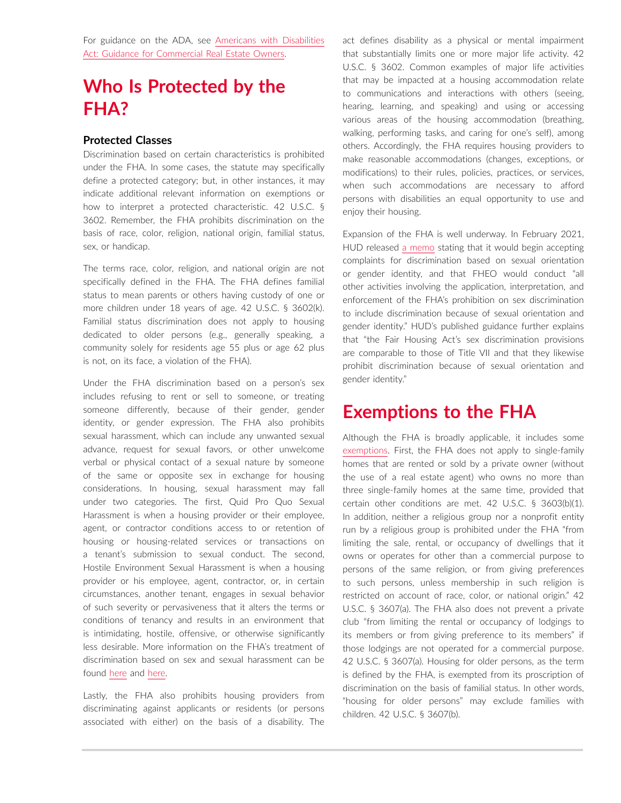For guidance on the ADA, see [Americans with Disabilities](https://advance.lexis.com/open/document/lpadocument/?pdmfid=1000522&pddocfullpath=%2Fshared%2Fdocument%2Fanalytical-materials%2Furn%3AcontentItem%3A5XBM-03R1-F8D9-M3JG-00000-00&pdcontentcomponentid=500749&pdteaserkey=sr0&pditab=allpods&ecomp=ztrg&earg=sr0)  [Act: Guidance for Commercial Real Estate Owners](https://advance.lexis.com/open/document/lpadocument/?pdmfid=1000522&pddocfullpath=%2Fshared%2Fdocument%2Fanalytical-materials%2Furn%3AcontentItem%3A5XBM-03R1-F8D9-M3JG-00000-00&pdcontentcomponentid=500749&pdteaserkey=sr0&pditab=allpods&ecomp=ztrg&earg=sr0).

# **Who Is Protected by the FHA?**

### **Protected Classes**

Discrimination based on certain characteristics is prohibited under the FHA. In some cases, the statute may specifically define a protected category; but, in other instances, it may indicate additional relevant information on exemptions or how to interpret a protected characteristic. 42 U.S.C. § 3602. Remember, the FHA prohibits discrimination on the basis of race, color, religion, national origin, familial status, sex, or handicap.

The terms race, color, religion, and national origin are not specifically defined in the FHA. The FHA defines familial status to mean parents or others having custody of one or more children under 18 years of age. 42 U.S.C. § 3602(k). Familial status discrimination does not apply to housing dedicated to older persons (e.g., generally speaking, a community solely for residents age 55 plus or age 62 plus is not, on its face, a violation of the FHA).

Under the FHA discrimination based on a person's sex includes refusing to rent or sell to someone, or treating someone differently, because of their gender, gender identity, or gender expression. The FHA also prohibits sexual harassment, which can include any unwanted sexual advance, request for sexual favors, or other unwelcome verbal or physical contact of a sexual nature by someone of the same or opposite sex in exchange for housing considerations. In housing, sexual harassment may fall under two categories. The first, Quid Pro Quo Sexual Harassment is when a housing provider or their employee, agent, or contractor conditions access to or retention of housing or housing-related services or transactions on a tenant's submission to sexual conduct. The second, Hostile Environment Sexual Harassment is when a housing provider or his employee, agent, contractor, or, in certain circumstances, another tenant, engages in sexual behavior of such severity or pervasiveness that it alters the terms or conditions of tenancy and results in an environment that is intimidating, hostile, offensive, or otherwise significantly less desirable. More information on the FHA's treatment of discrimination based on sex and sexual harassment can be found [here](https://www.fairhousingnc.org/know-your-rights/sex-sexual-harassment/) and [here](https://www.hud.gov/sites/documents/QANDASEXUALHARASSMENT.PDF).

Lastly, the FHA also prohibits housing providers from discriminating against applicants or residents (or persons associated with either) on the basis of a disability. The act defines disability as a physical or mental impairment that substantially limits one or more major life activity. 42 U.S.C. § 3602. Common examples of major life activities that may be impacted at a housing accommodation relate to communications and interactions with others (seeing, hearing, learning, and speaking) and using or accessing various areas of the housing accommodation (breathing, walking, performing tasks, and caring for one's self), among others. Accordingly, the FHA requires housing providers to make reasonable accommodations (changes, exceptions, or modifications) to their rules, policies, practices, or services, when such accommodations are necessary to afford persons with disabilities an equal opportunity to use and enjoy their housing.

Expansion of the FHA is well underway. In February 2021, HUD released [a memo](https://www.hud.gov/sites/dfiles/PA/documents/HUD_Memo_EO13988.pdf) stating that it would begin accepting complaints for discrimination based on sexual orientation or gender identity, and that FHEO would conduct "all other activities involving the application, interpretation, and enforcement of the FHA's prohibition on sex discrimination to include discrimination because of sexual orientation and gender identity." HUD's published guidance further explains that "the Fair Housing Act's sex discrimination provisions are comparable to those of Title VII and that they likewise prohibit discrimination because of sexual orientation and gender identity."

# **Exemptions to the FHA**

Although the FHA is broadly applicable, it includes some [exemptions](https://crsreports.congress.gov/product/pdf/RL/95-710/23). First, the FHA does not apply to single-family homes that are rented or sold by a private owner (without the use of a real estate agent) who owns no more than three single-family homes at the same time, provided that certain other conditions are met. 42 U.S.C. § 3603(b)(1). In addition, neither a religious group nor a nonprofit entity run by a religious group is prohibited under the FHA "from limiting the sale, rental, or occupancy of dwellings that it owns or operates for other than a commercial purpose to persons of the same religion, or from giving preferences to such persons, unless membership in such religion is restricted on account of race, color, or national origin." 42 U.S.C. § 3607(a). The FHA also does not prevent a private club "from limiting the rental or occupancy of lodgings to its members or from giving preference to its members" if those lodgings are not operated for a commercial purpose. 42 U.S.C. § 3607(a). Housing for older persons, as the term is defined by the FHA, is exempted from its proscription of discrimination on the basis of familial status. In other words, "housing for older persons" may exclude families with children. 42 U.S.C. § 3607(b).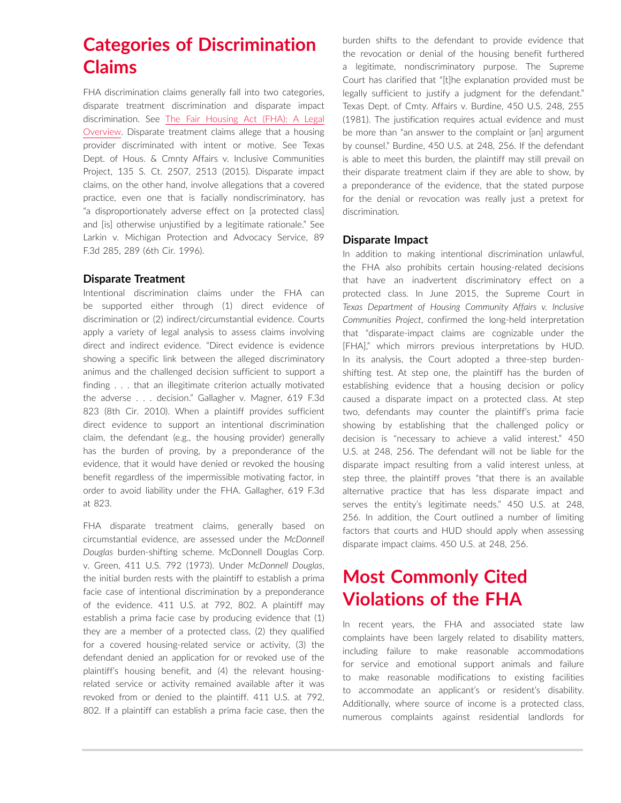# **Categories of Discrimination Claims**

FHA discrimination claims generally fall into two categories, disparate treatment discrimination and disparate impact discrimination. See [The Fair Housing Act \(FHA\): A Legal](https://crsreports.congress.gov/product/pdf/RL/95-710/23)  [Overview](https://crsreports.congress.gov/product/pdf/RL/95-710/23). Disparate treatment claims allege that a housing provider discriminated with intent or motive. See Texas Dept. of Hous. & Cmnty Affairs v. Inclusive Communities Project, 135 S. Ct. 2507, 2513 (2015). Disparate impact claims, on the other hand, involve allegations that a covered practice, even one that is facially nondiscriminatory, has "a disproportionately adverse effect on [a protected class] and [is] otherwise unjustified by a legitimate rationale." See Larkin v. Michigan Protection and Advocacy Service, 89 F.3d 285, 289 (6th Cir. 1996).

### **Disparate Treatment**

Intentional discrimination claims under the FHA can be supported either through (1) direct evidence of discrimination or (2) indirect/circumstantial evidence. Courts apply a variety of legal analysis to assess claims involving direct and indirect evidence. "Direct evidence is evidence showing a specific link between the alleged discriminatory animus and the challenged decision sufficient to support a finding . . . that an illegitimate criterion actually motivated the adverse . . . decision." Gallagher v. Magner, 619 F.3d 823 (8th Cir. 2010). When a plaintiff provides sufficient direct evidence to support an intentional discrimination claim, the defendant (e.g., the housing provider) generally has the burden of proving, by a preponderance of the evidence, that it would have denied or revoked the housing benefit regardless of the impermissible motivating factor, in order to avoid liability under the FHA. Gallagher, 619 F.3d at 823.

FHA disparate treatment claims, generally based on circumstantial evidence, are assessed under the *McDonnell Douglas* burden-shifting scheme. McDonnell Douglas Corp. v. Green, 411 U.S. 792 (1973). Under *McDonnell Douglas*, the initial burden rests with the plaintiff to establish a prima facie case of intentional discrimination by a preponderance of the evidence. 411 U.S. at 792, 802. A plaintiff may establish a prima facie case by producing evidence that (1) they are a member of a protected class, (2) they qualified for a covered housing-related service or activity, (3) the defendant denied an application for or revoked use of the plaintiff's housing benefit, and (4) the relevant housingrelated service or activity remained available after it was revoked from or denied to the plaintiff. 411 U.S. at 792, 802. If a plaintiff can establish a prima facie case, then the burden shifts to the defendant to provide evidence that the revocation or denial of the housing benefit furthered a legitimate, nondiscriminatory purpose. The Supreme Court has clarified that "[t]he explanation provided must be legally sufficient to justify a judgment for the defendant." Texas Dept. of Cmty. Affairs v. Burdine, 450 U.S. 248, 255 (1981). The justification requires actual evidence and must be more than "an answer to the complaint or [an] argument by counsel." Burdine, 450 U.S. at 248, 256. If the defendant is able to meet this burden, the plaintiff may still prevail on their disparate treatment claim if they are able to show, by a preponderance of the evidence, that the stated purpose for the denial or revocation was really just a pretext for discrimination.

### **Disparate Impact**

In addition to making intentional discrimination unlawful, the FHA also prohibits certain housing-related decisions that have an inadvertent discriminatory effect on a protected class. In June 2015, the Supreme Court in *Texas Department of Housing Community Affairs v. Inclusive Communities Project*, confirmed the long-held interpretation that "disparate-impact claims are cognizable under the [FHA]," which mirrors previous interpretations by HUD. In its analysis, the Court adopted a three-step burdenshifting test. At step one, the plaintiff has the burden of establishing evidence that a housing decision or policy caused a disparate impact on a protected class. At step two, defendants may counter the plaintiff's prima facie showing by establishing that the challenged policy or decision is "necessary to achieve a valid interest." 450 U.S. at 248, 256. The defendant will not be liable for the disparate impact resulting from a valid interest unless, at step three, the plaintiff proves "that there is an available alternative practice that has less disparate impact and serves the entity's legitimate needs." 450 U.S. at 248, 256. In addition, the Court outlined a number of limiting factors that courts and HUD should apply when assessing disparate impact claims. 450 U.S. at 248, 256.

# **Most Commonly Cited Violations of the FHA**

In recent years, the FHA and associated state law complaints have been largely related to disability matters, including failure to make reasonable accommodations for service and emotional support animals and failure to make reasonable modifications to existing facilities to accommodate an applicant's or resident's disability. Additionally, where source of income is a protected class, numerous complaints against residential landlords for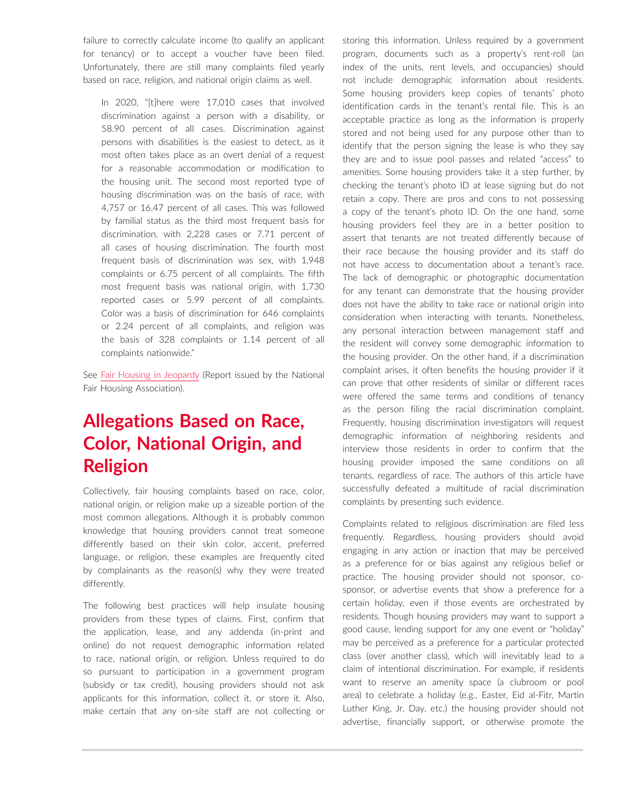failure to correctly calculate income (to qualify an applicant for tenancy) or to accept a voucher have been filed. Unfortunately, there are still many complaints filed yearly based on race, religion, and national origin claims as well.

In 2020, "[t]here were 17,010 cases that involved discrimination against a person with a disability, or 58.90 percent of all cases. Discrimination against persons with disabilities is the easiest to detect, as it most often takes place as an overt denial of a request for a reasonable accommodation or modification to the housing unit. The second most reported type of housing discrimination was on the basis of race, with 4,757 or 16.47 percent of all cases. This was followed by familial status as the third most frequent basis for discrimination, with 2,228 cases or 7.71 percent of all cases of housing discrimination. The fourth most frequent basis of discrimination was sex, with 1,948 complaints or 6.75 percent of all complaints. The fifth most frequent basis was national origin, with 1,730 reported cases or 5.99 percent of all complaints. Color was a basis of discrimination for 646 complaints or 2.24 percent of all complaints, and religion was the basis of 328 complaints or 1.14 percent of all complaints nationwide."

See [Fair Housing in Jeopardy](https://nationalfairhousing.org/wp-content/uploads/2020/09/NFHA-2020-Fair-Housing-Trends-Report.pdf) (Report issued by the National Fair Housing Association).

# **Allegations Based on Race, Color, National Origin, and Religion**

Collectively, fair housing complaints based on race, color, national origin, or religion make up a sizeable portion of the most common allegations. Although it is probably common knowledge that housing providers cannot treat someone differently based on their skin color, accent, preferred language, or religion, these examples are frequently cited by complainants as the reason(s) why they were treated differently.

The following best practices will help insulate housing providers from these types of claims. First, confirm that the application, lease, and any addenda (in-print and online) do not request demographic information related to race, national origin, or religion. Unless required to do so pursuant to participation in a government program (subsidy or tax credit), housing providers should not ask applicants for this information, collect it, or store it. Also, make certain that any on-site staff are not collecting or storing this information. Unless required by a government program, documents such as a property's rent-roll (an index of the units, rent levels, and occupancies) should not include demographic information about residents. Some housing providers keep copies of tenants' photo identification cards in the tenant's rental file. This is an acceptable practice as long as the information is properly stored and not being used for any purpose other than to identify that the person signing the lease is who they say they are and to issue pool passes and related "access" to amenities. Some housing providers take it a step further, by checking the tenant's photo ID at lease signing but do not retain a copy. There are pros and cons to not possessing a copy of the tenant's photo ID. On the one hand, some housing providers feel they are in a better position to assert that tenants are not treated differently because of their race because the housing provider and its staff do not have access to documentation about a tenant's race. The lack of demographic or photographic documentation for any tenant can demonstrate that the housing provider does not have the ability to take race or national origin into consideration when interacting with tenants. Nonetheless, any personal interaction between management staff and the resident will convey some demographic information to the housing provider. On the other hand, if a discrimination complaint arises, it often benefits the housing provider if it can prove that other residents of similar or different races were offered the same terms and conditions of tenancy as the person filing the racial discrimination complaint. Frequently, housing discrimination investigators will request demographic information of neighboring residents and interview those residents in order to confirm that the housing provider imposed the same conditions on all tenants, regardless of race. The authors of this article have successfully defeated a multitude of racial discrimination complaints by presenting such evidence.

Complaints related to religious discrimination are filed less frequently. Regardless, housing providers should avoid engaging in any action or inaction that may be perceived as a preference for or bias against any religious belief or practice. The housing provider should not sponsor, cosponsor, or advertise events that show a preference for a certain holiday, even if those events are orchestrated by residents. Though housing providers may want to support a good cause, lending support for any one event or "holiday" may be perceived as a preference for a particular protected class (over another class), which will inevitably lead to a claim of intentional discrimination. For example, if residents want to reserve an amenity space (a clubroom or pool area) to celebrate a holiday (e.g., Easter, Eid al-Fitr, Martin Luther King, Jr. Day, etc.) the housing provider should not advertise, financially support, or otherwise promote the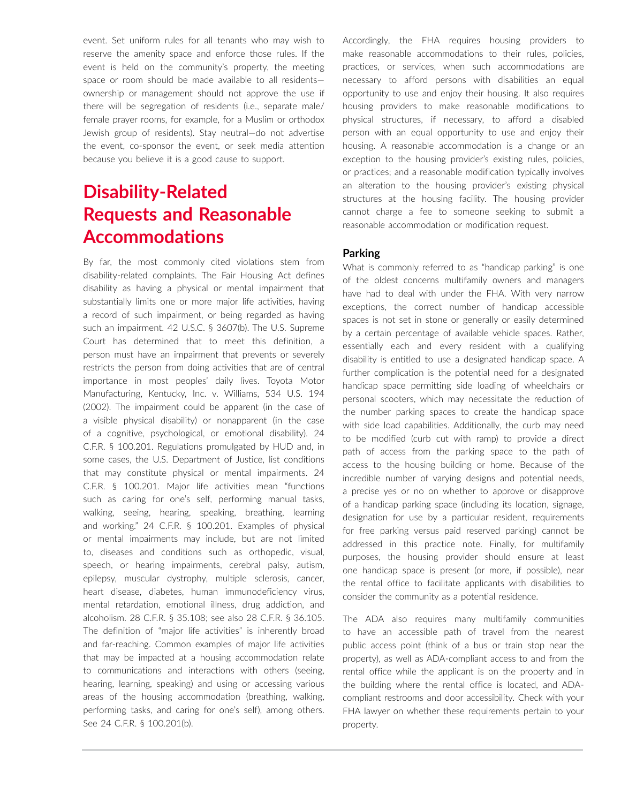event. Set uniform rules for all tenants who may wish to reserve the amenity space and enforce those rules. If the event is held on the community's property, the meeting space or room should be made available to all residents ownership or management should not approve the use if there will be segregation of residents (i.e., separate male/ female prayer rooms, for example, for a Muslim or orthodox Jewish group of residents). Stay neutral—do not advertise the event, co-sponsor the event, or seek media attention because you believe it is a good cause to support.

# **Disability-Related Requests and Reasonable Accommodations**

By far, the most commonly cited violations stem from disability-related complaints. The Fair Housing Act defines disability as having a physical or mental impairment that substantially limits one or more major life activities, having a record of such impairment, or being regarded as having such an impairment. 42 U.S.C. § 3607(b). The U.S. Supreme Court has determined that to meet this definition, a person must have an impairment that prevents or severely restricts the person from doing activities that are of central importance in most peoples' daily lives. Toyota Motor Manufacturing, Kentucky, Inc. v. Williams, 534 U.S. 194 (2002). The impairment could be apparent (in the case of a visible physical disability) or nonapparent (in the case of a cognitive, psychological, or emotional disability). 24 C.F.R. § 100.201. Regulations promulgated by HUD and, in some cases, the U.S. Department of Justice, list conditions that may constitute physical or mental impairments. 24 C.F.R. § 100.201. Major life activities mean "functions such as caring for one's self, performing manual tasks, walking, seeing, hearing, speaking, breathing, learning and working." 24 C.F.R. § 100.201. Examples of physical or mental impairments may include, but are not limited to, diseases and conditions such as orthopedic, visual, speech, or hearing impairments, cerebral palsy, autism, epilepsy, muscular dystrophy, multiple sclerosis, cancer, heart disease, diabetes, human immunodeficiency virus, mental retardation, emotional illness, drug addiction, and alcoholism. 28 C.F.R. § 35.108; see also 28 C.F.R. § 36.105. The definition of "major life activities" is inherently broad and far-reaching. Common examples of major life activities that may be impacted at a housing accommodation relate to communications and interactions with others (seeing, hearing, learning, speaking) and using or accessing various areas of the housing accommodation (breathing, walking, performing tasks, and caring for one's self), among others. See 24 C.F.R. § 100.201(b).

Accordingly, the FHA requires housing providers to make reasonable accommodations to their rules, policies, practices, or services, when such accommodations are necessary to afford persons with disabilities an equal opportunity to use and enjoy their housing. It also requires housing providers to make reasonable modifications to physical structures, if necessary, to afford a disabled person with an equal opportunity to use and enjoy their housing. A reasonable accommodation is a change or an exception to the housing provider's existing rules, policies, or practices; and a reasonable modification typically involves an alteration to the housing provider's existing physical structures at the housing facility. The housing provider cannot charge a fee to someone seeking to submit a reasonable accommodation or modification request.

### **Parking**

What is commonly referred to as "handicap parking" is one of the oldest concerns multifamily owners and managers have had to deal with under the FHA. With very narrow exceptions, the correct number of handicap accessible spaces is not set in stone or generally or easily determined by a certain percentage of available vehicle spaces. Rather, essentially each and every resident with a qualifying disability is entitled to use a designated handicap space. A further complication is the potential need for a designated handicap space permitting side loading of wheelchairs or personal scooters, which may necessitate the reduction of the number parking spaces to create the handicap space with side load capabilities. Additionally, the curb may need to be modified (curb cut with ramp) to provide a direct path of access from the parking space to the path of access to the housing building or home. Because of the incredible number of varying designs and potential needs, a precise yes or no on whether to approve or disapprove of a handicap parking space (including its location, signage, designation for use by a particular resident, requirements for free parking versus paid reserved parking) cannot be addressed in this practice note. Finally, for multifamily purposes, the housing provider should ensure at least one handicap space is present (or more, if possible), near the rental office to facilitate applicants with disabilities to consider the community as a potential residence.

The ADA also requires many multifamily communities to have an accessible path of travel from the nearest public access point (think of a bus or train stop near the property), as well as ADA-compliant access to and from the rental office while the applicant is on the property and in the building where the rental office is located, and ADAcompliant restrooms and door accessibility. Check with your FHA lawyer on whether these requirements pertain to your property.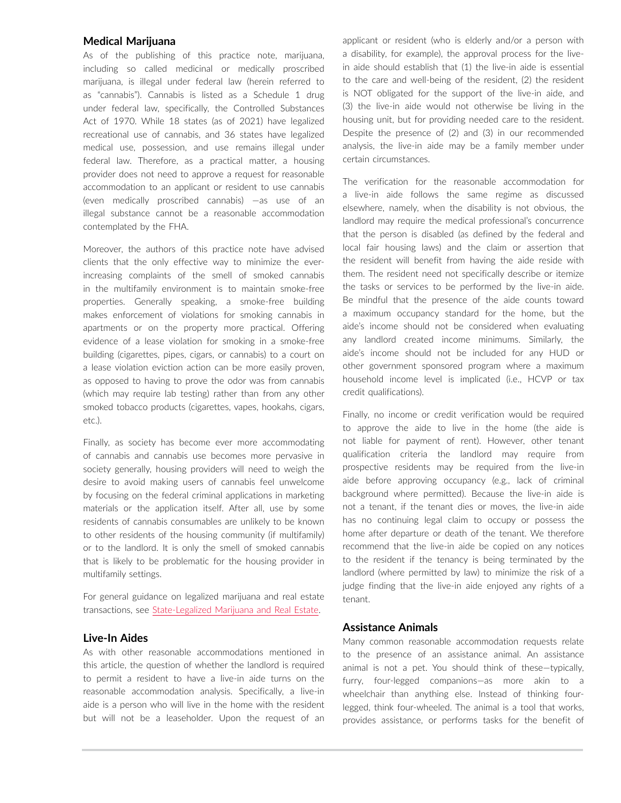#### **Medical Marijuana**

As of the publishing of this practice note, marijuana, including so called medicinal or medically proscribed marijuana, is illegal under federal law (herein referred to as "cannabis"). Cannabis is listed as a Schedule 1 drug under federal law, specifically, the Controlled Substances Act of 1970. While 18 states (as of 2021) have legalized recreational use of cannabis, and 36 states have legalized medical use, possession, and use remains illegal under federal law. Therefore, as a practical matter, a housing provider does not need to approve a request for reasonable accommodation to an applicant or resident to use cannabis (even medically proscribed cannabis) —as use of an illegal substance cannot be a reasonable accommodation contemplated by the FHA.

Moreover, the authors of this practice note have advised clients that the only effective way to minimize the everincreasing complaints of the smell of smoked cannabis in the multifamily environment is to maintain smoke-free properties. Generally speaking, a smoke-free building makes enforcement of violations for smoking cannabis in apartments or on the property more practical. Offering evidence of a lease violation for smoking in a smoke-free building (cigarettes, pipes, cigars, or cannabis) to a court on a lease violation eviction action can be more easily proven, as opposed to having to prove the odor was from cannabis (which may require lab testing) rather than from any other smoked tobacco products (cigarettes, vapes, hookahs, cigars, etc.).

Finally, as society has become ever more accommodating of cannabis and cannabis use becomes more pervasive in society generally, housing providers will need to weigh the desire to avoid making users of cannabis feel unwelcome by focusing on the federal criminal applications in marketing materials or the application itself. After all, use by some residents of cannabis consumables are unlikely to be known to other residents of the housing community (if multifamily) or to the landlord. It is only the smell of smoked cannabis that is likely to be problematic for the housing provider in multifamily settings.

For general guidance on legalized marijuana and real estate transactions, see [State-Legalized Marijuana and Real Estate](https://advance.lexis.com/open/document/lpadocument/?pdmfid=1000522&pddocfullpath=%2Fshared%2Fdocument%2Fanalytical-materials%2Furn%3AcontentItem%3A5XWS-FR31-K054-G46T-00000-00&pdcontentcomponentid=500749&pdteaserkey=sr0&pditab=allpods&ecomp=ztrg&earg=sr0).

### **Live-In Aides**

As with other reasonable accommodations mentioned in this article, the question of whether the landlord is required to permit a resident to have a live-in aide turns on the reasonable accommodation analysis. Specifically, a live-in aide is a person who will live in the home with the resident but will not be a leaseholder. Upon the request of an applicant or resident (who is elderly and/or a person with a disability, for example), the approval process for the livein aide should establish that (1) the live-in aide is essential to the care and well-being of the resident, (2) the resident is NOT obligated for the support of the live-in aide, and (3) the live-in aide would not otherwise be living in the housing unit, but for providing needed care to the resident. Despite the presence of (2) and (3) in our recommended analysis, the live-in aide may be a family member under certain circumstances.

The verification for the reasonable accommodation for a live-in aide follows the same regime as discussed elsewhere, namely, when the disability is not obvious, the landlord may require the medical professional's concurrence that the person is disabled (as defined by the federal and local fair housing laws) and the claim or assertion that the resident will benefit from having the aide reside with them. The resident need not specifically describe or itemize the tasks or services to be performed by the live-in aide. Be mindful that the presence of the aide counts toward a maximum occupancy standard for the home, but the aide's income should not be considered when evaluating any landlord created income minimums. Similarly, the aide's income should not be included for any HUD or other government sponsored program where a maximum household income level is implicated (i.e., HCVP or tax credit qualifications).

Finally, no income or credit verification would be required to approve the aide to live in the home (the aide is not liable for payment of rent). However, other tenant qualification criteria the landlord may require from prospective residents may be required from the live-in aide before approving occupancy (e.g., lack of criminal background where permitted). Because the live-in aide is not a tenant, if the tenant dies or moves, the live-in aide has no continuing legal claim to occupy or possess the home after departure or death of the tenant. We therefore recommend that the live-in aide be copied on any notices to the resident if the tenancy is being terminated by the landlord (where permitted by law) to minimize the risk of a judge finding that the live-in aide enjoyed any rights of a tenant.

#### **Assistance Animals**

Many common reasonable accommodation requests relate to the presence of an assistance animal. An assistance animal is not a pet. You should think of these—typically, furry, four-legged companions—as more akin to a wheelchair than anything else. Instead of thinking fourlegged, think four-wheeled. The animal is a tool that works, provides assistance, or performs tasks for the benefit of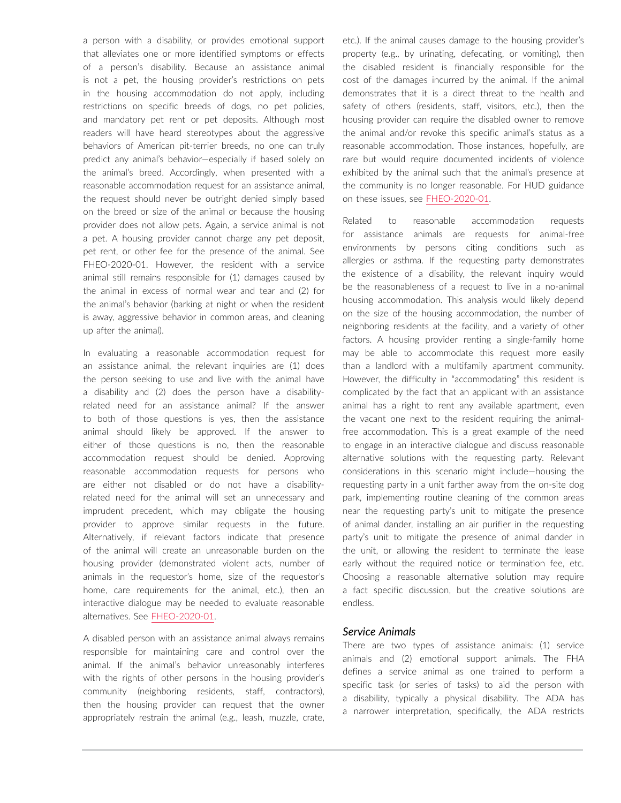a person with a disability, or provides emotional support that alleviates one or more identified symptoms or effects of a person's disability. Because an assistance animal is not a pet, the housing provider's restrictions on pets in the housing accommodation do not apply, including restrictions on specific breeds of dogs, no pet policies, and mandatory pet rent or pet deposits. Although most readers will have heard stereotypes about the aggressive behaviors of American pit-terrier breeds, no one can truly predict any animal's behavior—especially if based solely on the animal's breed. Accordingly, when presented with a reasonable accommodation request for an assistance animal, the request should never be outright denied simply based on the breed or size of the animal or because the housing provider does not allow pets. Again, a service animal is not a pet. A housing provider cannot charge any pet deposit, pet rent, or other fee for the presence of the animal. See FHEO-2020-01. However, the resident with a service animal still remains responsible for (1) damages caused by the animal in excess of normal wear and tear and (2) for the animal's behavior (barking at night or when the resident is away, aggressive behavior in common areas, and cleaning up after the animal).

In evaluating a reasonable accommodation request for an assistance animal, the relevant inquiries are (1) does the person seeking to use and live with the animal have a disability and (2) does the person have a disabilityrelated need for an assistance animal? If the answer to both of those questions is yes, then the assistance animal should likely be approved. If the answer to either of those questions is no, then the reasonable accommodation request should be denied. Approving reasonable accommodation requests for persons who are either not disabled or do not have a disabilityrelated need for the animal will set an unnecessary and imprudent precedent, which may obligate the housing provider to approve similar requests in the future. Alternatively, if relevant factors indicate that presence of the animal will create an unreasonable burden on the housing provider (demonstrated violent acts, number of animals in the requestor's home, size of the requestor's home, care requirements for the animal, etc.), then an interactive dialogue may be needed to evaluate reasonable alternatives. See [FHEO-2020-01](https://www.hud.gov/sites/dfiles/PA/documents/HUDAsstAnimalNC1-28-2020.pdf).

A disabled person with an assistance animal always remains responsible for maintaining care and control over the animal. If the animal's behavior unreasonably interferes with the rights of other persons in the housing provider's community (neighboring residents, staff, contractors), then the housing provider can request that the owner appropriately restrain the animal (e.g., leash, muzzle, crate, etc.). If the animal causes damage to the housing provider's property (e.g., by urinating, defecating, or vomiting), then the disabled resident is financially responsible for the cost of the damages incurred by the animal. If the animal demonstrates that it is a direct threat to the health and safety of others (residents, staff, visitors, etc.), then the housing provider can require the disabled owner to remove the animal and/or revoke this specific animal's status as a reasonable accommodation. Those instances, hopefully, are rare but would require documented incidents of violence exhibited by the animal such that the animal's presence at the community is no longer reasonable. For HUD guidance on these issues, see [FHEO-2020-01](https://www.hud.gov/sites/dfiles/PA/documents/HUDAsstAnimalNC1-28-2020.pdf).

Related to reasonable accommodation requests for assistance animals are requests for animal-free environments by persons citing conditions such as allergies or asthma. If the requesting party demonstrates the existence of a disability, the relevant inquiry would be the reasonableness of a request to live in a no-animal housing accommodation. This analysis would likely depend on the size of the housing accommodation, the number of neighboring residents at the facility, and a variety of other factors. A housing provider renting a single-family home may be able to accommodate this request more easily than a landlord with a multifamily apartment community. However, the difficulty in "accommodating" this resident is complicated by the fact that an applicant with an assistance animal has a right to rent any available apartment, even the vacant one next to the resident requiring the animalfree accommodation. This is a great example of the need to engage in an interactive dialogue and discuss reasonable alternative solutions with the requesting party. Relevant considerations in this scenario might include—housing the requesting party in a unit farther away from the on-site dog park, implementing routine cleaning of the common areas near the requesting party's unit to mitigate the presence of animal dander, installing an air purifier in the requesting party's unit to mitigate the presence of animal dander in the unit, or allowing the resident to terminate the lease early without the required notice or termination fee, etc. Choosing a reasonable alternative solution may require a fact specific discussion, but the creative solutions are endless.

#### *Service Animals*

There are two types of assistance animals: (1) service animals and (2) emotional support animals. The FHA defines a service animal as one trained to perform a specific task (or series of tasks) to aid the person with a disability, typically a physical disability. The ADA has a narrower interpretation, specifically, the ADA restricts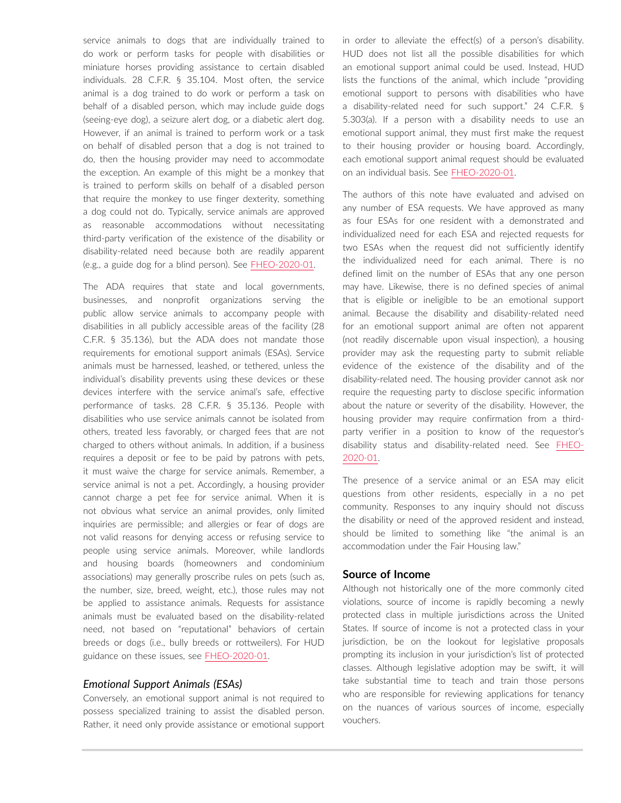service animals to dogs that are individually trained to do work or perform tasks for people with disabilities or miniature horses providing assistance to certain disabled individuals. 28 C.F.R. § 35.104. Most often, the service animal is a dog trained to do work or perform a task on behalf of a disabled person, which may include guide dogs (seeing-eye dog), a seizure alert dog, or a diabetic alert dog. However, if an animal is trained to perform work or a task on behalf of disabled person that a dog is not trained to do, then the housing provider may need to accommodate the exception. An example of this might be a monkey that is trained to perform skills on behalf of a disabled person that require the monkey to use finger dexterity, something a dog could not do. Typically, service animals are approved as reasonable accommodations without necessitating third-party verification of the existence of the disability or disability-related need because both are readily apparent (e.g., a guide dog for a blind person). See [FHEO-2020-01](https://www.hud.gov/sites/dfiles/PA/documents/HUDAsstAnimalNC1-28-2020.pdf).

The ADA requires that state and local governments, businesses, and nonprofit organizations serving the public allow service animals to accompany people with disabilities in all publicly accessible areas of the facility (28 C.F.R. § 35.136), but the ADA does not mandate those requirements for emotional support animals (ESAs). Service animals must be harnessed, leashed, or tethered, unless the individual's disability prevents using these devices or these devices interfere with the service animal's safe, effective performance of tasks. 28 C.F.R. § 35.136. People with disabilities who use service animals cannot be isolated from others, treated less favorably, or charged fees that are not charged to others without animals. In addition, if a business requires a deposit or fee to be paid by patrons with pets, it must waive the charge for service animals. Remember, a service animal is not a pet. Accordingly, a housing provider cannot charge a pet fee for service animal. When it is not obvious what service an animal provides, only limited inquiries are permissible; and allergies or fear of dogs are not valid reasons for denying access or refusing service to people using service animals. Moreover, while landlords and housing boards (homeowners and condominium associations) may generally proscribe rules on pets (such as, the number, size, breed, weight, etc.), those rules may not be applied to assistance animals. Requests for assistance animals must be evaluated based on the disability-related need, not based on "reputational" behaviors of certain breeds or dogs (i.e., bully breeds or rottweilers). For HUD guidance on these issues, see [FHEO-2020-01](https://www.hud.gov/sites/dfiles/PA/documents/HUDAsstAnimalNC1-28-2020.pdf).

#### *Emotional Support Animals (ESAs)*

Conversely, an emotional support animal is not required to possess specialized training to assist the disabled person. Rather, it need only provide assistance or emotional support

in order to alleviate the effect(s) of a person's disability. HUD does not list all the possible disabilities for which an emotional support animal could be used. Instead, HUD lists the functions of the animal, which include "providing emotional support to persons with disabilities who have a disability-related need for such support." 24 C.F.R. § 5.303(a). If a person with a disability needs to use an emotional support animal, they must first make the request to their housing provider or housing board. Accordingly, each emotional support animal request should be evaluated on an individual basis. See [FHEO-2020-01](https://www.hud.gov/sites/dfiles/PA/documents/HUDAsstAnimalNC1-28-2020.pdf).

The authors of this note have evaluated and advised on any number of ESA requests. We have approved as many as four ESAs for one resident with a demonstrated and individualized need for each ESA and rejected requests for two ESAs when the request did not sufficiently identify the individualized need for each animal. There is no defined limit on the number of ESAs that any one person may have. Likewise, there is no defined species of animal that is eligible or ineligible to be an emotional support animal. Because the disability and disability-related need for an emotional support animal are often not apparent (not readily discernable upon visual inspection), a housing provider may ask the requesting party to submit reliable evidence of the existence of the disability and of the disability-related need. The housing provider cannot ask nor require the requesting party to disclose specific information about the nature or severity of the disability. However, the housing provider may require confirmation from a thirdparty verifier in a position to know of the requestor's disability status and disability-related need. See [FHEO-](https://www.hud.gov/sites/dfiles/PA/documents/HUDAsstAnimalNC1-28-2020.pdf)[2020-01.](https://www.hud.gov/sites/dfiles/PA/documents/HUDAsstAnimalNC1-28-2020.pdf)

The presence of a service animal or an ESA may elicit questions from other residents, especially in a no pet community. Responses to any inquiry should not discuss the disability or need of the approved resident and instead, should be limited to something like "the animal is an accommodation under the Fair Housing law."

### **Source of Income**

Although not historically one of the more commonly cited violations, source of income is rapidly becoming a newly protected class in multiple jurisdictions across the United States. If source of income is not a protected class in your jurisdiction, be on the lookout for legislative proposals prompting its inclusion in your jurisdiction's list of protected classes. Although legislative adoption may be swift, it will take substantial time to teach and train those persons who are responsible for reviewing applications for tenancy on the nuances of various sources of income, especially vouchers.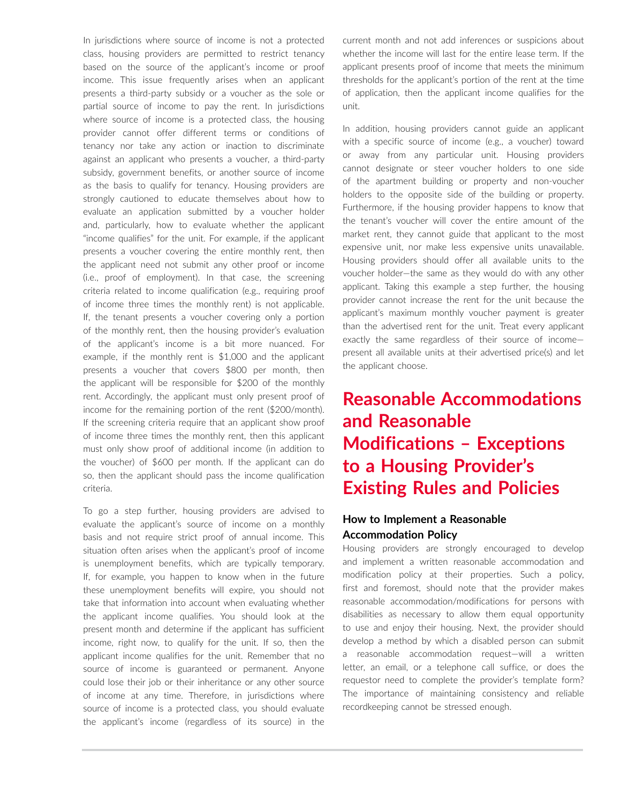In jurisdictions where source of income is not a protected class, housing providers are permitted to restrict tenancy based on the source of the applicant's income or proof income. This issue frequently arises when an applicant presents a third-party subsidy or a voucher as the sole or partial source of income to pay the rent. In jurisdictions where source of income is a protected class, the housing provider cannot offer different terms or conditions of tenancy nor take any action or inaction to discriminate against an applicant who presents a voucher, a third-party subsidy, government benefits, or another source of income as the basis to qualify for tenancy. Housing providers are strongly cautioned to educate themselves about how to evaluate an application submitted by a voucher holder and, particularly, how to evaluate whether the applicant "income qualifies" for the unit. For example, if the applicant presents a voucher covering the entire monthly rent, then the applicant need not submit any other proof or income (i.e., proof of employment). In that case, the screening criteria related to income qualification (e.g., requiring proof of income three times the monthly rent) is not applicable. If, the tenant presents a voucher covering only a portion of the monthly rent, then the housing provider's evaluation of the applicant's income is a bit more nuanced. For example, if the monthly rent is \$1,000 and the applicant presents a voucher that covers \$800 per month, then the applicant will be responsible for \$200 of the monthly rent. Accordingly, the applicant must only present proof of income for the remaining portion of the rent (\$200/month). If the screening criteria require that an applicant show proof of income three times the monthly rent, then this applicant must only show proof of additional income (in addition to the voucher) of \$600 per month. If the applicant can do so, then the applicant should pass the income qualification criteria.

To go a step further, housing providers are advised to evaluate the applicant's source of income on a monthly basis and not require strict proof of annual income. This situation often arises when the applicant's proof of income is unemployment benefits, which are typically temporary. If, for example, you happen to know when in the future these unemployment benefits will expire, you should not take that information into account when evaluating whether the applicant income qualifies. You should look at the present month and determine if the applicant has sufficient income, right now, to qualify for the unit. If so, then the applicant income qualifies for the unit. Remember that no source of income is guaranteed or permanent. Anyone could lose their job or their inheritance or any other source of income at any time. Therefore, in jurisdictions where source of income is a protected class, you should evaluate the applicant's income (regardless of its source) in the current month and not add inferences or suspicions about whether the income will last for the entire lease term. If the applicant presents proof of income that meets the minimum thresholds for the applicant's portion of the rent at the time of application, then the applicant income qualifies for the unit.

In addition, housing providers cannot guide an applicant with a specific source of income (e.g., a voucher) toward or away from any particular unit. Housing providers cannot designate or steer voucher holders to one side of the apartment building or property and non-voucher holders to the opposite side of the building or property. Furthermore, if the housing provider happens to know that the tenant's voucher will cover the entire amount of the market rent, they cannot guide that applicant to the most expensive unit, nor make less expensive units unavailable. Housing providers should offer all available units to the voucher holder—the same as they would do with any other applicant. Taking this example a step further, the housing provider cannot increase the rent for the unit because the applicant's maximum monthly voucher payment is greater than the advertised rent for the unit. Treat every applicant exactly the same regardless of their source of income present all available units at their advertised price(s) and let the applicant choose.

# **Reasonable Accommodations and Reasonable Modifications – Exceptions to a Housing Provider's Existing Rules and Policies**

# **How to Implement a Reasonable Accommodation Policy**

Housing providers are strongly encouraged to develop and implement a written reasonable accommodation and modification policy at their properties. Such a policy, first and foremost, should note that the provider makes reasonable accommodation/modifications for persons with disabilities as necessary to allow them equal opportunity to use and enjoy their housing. Next, the provider should develop a method by which a disabled person can submit a reasonable accommodation request—will a written letter, an email, or a telephone call suffice, or does the requestor need to complete the provider's template form? The importance of maintaining consistency and reliable recordkeeping cannot be stressed enough.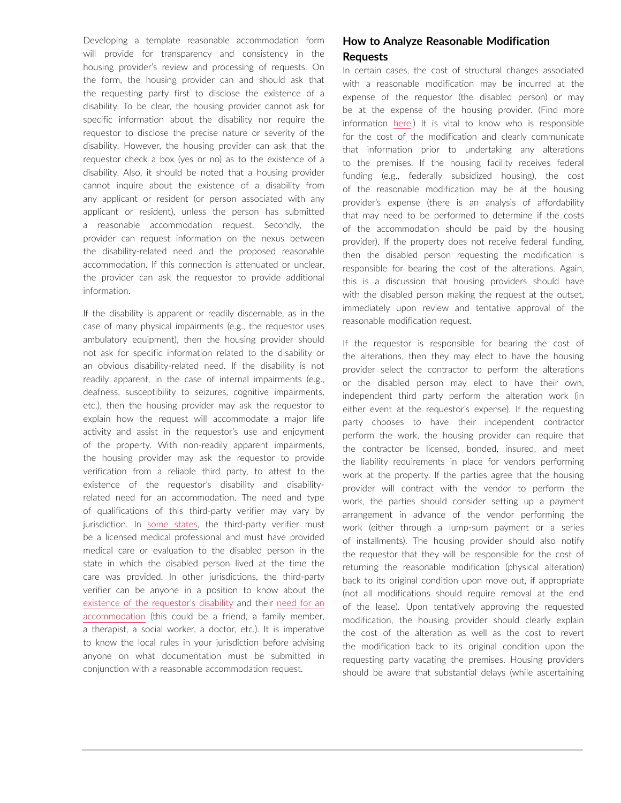Developing a template reasonable accommodation form will provide for transparency and consistency in the housing provider's review and processing of requests. On the form, the housing provider can and should ask that the requesting party first to disclose the existence of a disability. To be clear, the housing provider cannot ask for specific information about the disability nor require the requestor to disclose the precise nature or severity of the disability. However, the housing provider can ask that the requestor check a box (yes or no) as to the existence of a disability. Also, it should be noted that a housing provider cannot inquire about the existence of a disability from any applicant or resident (or person associated with any applicant or resident), unless the person has submitted a reasonable accommodation request. Secondly, the provider can request information on the nexus between the disability-related need and the proposed reasonable accommodation. If this connection is attenuated or unclear, the provider can ask the requestor to provide additional information.

If the disability is apparent or readily discernable, as in the case of many physical impairments (e.g., the requestor uses ambulatory equipment), then the housing provider should not ask for specific information related to the disability or an obvious disability-related need. If the disability is not readily apparent, in the case of internal impairments (e.g., deafness, susceptibility to seizures, cognitive impairments, etc.), then the housing provider may ask the requestor to explain how the request will accommodate a major life activity and assist in the requestor's use and enjoyment of the property. With non-readily apparent impairments, the housing provider may ask the requestor to provide verification from a reliable third party, to attest to the existence of the requestor's disability and disabilityrelated need for an accommodation. The need and type of qualifications of this third-party verifier may vary by jurisdiction. In [some states,](https://townhall.virginia.gov/L/GetFile.cfm?File=C:\TownHall\docroot\GuidanceDocs\222\GDoc_DPOR_6045_v3.pdf) the third-party verifier must be a licensed medical professional and must have provided medical care or evaluation to the disabled person in the state in which the disabled person lived at the time the care was provided. In other jurisdictions, the third-party verifier can be anyone in a position to know about the [existence of the requestor's disability](https://www.justice.gov/crt/us-department-housing-and-urban-development) and their [need for an](https://www.hud.gov/program_offices/fair_housing_equal_opp/reasonable_accommodations_and_modifications)  [accommodation](https://www.hud.gov/program_offices/fair_housing_equal_opp/reasonable_accommodations_and_modifications) (this could be a friend, a family member, a therapist, a social worker, a doctor, etc.). It is imperative to know the local rules in your jurisdiction before advising anyone on what documentation must be submitted in conjunction with a reasonable accommodation request.

# **How to Analyze Reasonable Modification Requests**

In certain cases, the cost of structural changes associated with a reasonable modification may be incurred at the expense of the requestor (the disabled person) or may be at the expense of the housing provider. (Find more information [here](https://www.hud.gov/sites/dfiles/FHEO/documents/reasonable_modifications_mar08.pdf).) It is vital to know who is responsible for the cost of the modification and clearly communicate that information prior to undertaking any alterations to the premises. If the housing facility receives federal funding (e.g., federally subsidized housing), the cost of the reasonable modification may be at the housing provider's expense (there is an analysis of affordability that may need to be performed to determine if the costs of the accommodation should be paid by the housing provider). If the property does not receive federal funding, then the disabled person requesting the modification is responsible for bearing the cost of the alterations. Again, this is a discussion that housing providers should have with the disabled person making the request at the outset, immediately upon review and tentative approval of the reasonable modification request.

If the requestor is responsible for bearing the cost of the alterations, then they may elect to have the housing provider select the contractor to perform the alterations or the disabled person may elect to have their own, independent third party perform the alteration work (in either event at the requestor's expense). If the requesting party chooses to have their independent contractor perform the work, the housing provider can require that the contractor be licensed, bonded, insured, and meet the liability requirements in place for vendors performing work at the property. If the parties agree that the housing provider will contract with the vendor to perform the work, the parties should consider setting up a payment arrangement in advance of the vendor performing the work (either through a lump-sum payment or a series of installments). The housing provider should also notify the requestor that they will be responsible for the cost of returning the reasonable modification (physical alteration) back to its original condition upon move out, if appropriate (not all modifications should require removal at the end of the lease). Upon tentatively approving the requested modification, the housing provider should clearly explain the cost of the alteration as well as the cost to revert the modification back to its original condition upon the requesting party vacating the premises. Housing providers should be aware that substantial delays (while ascertaining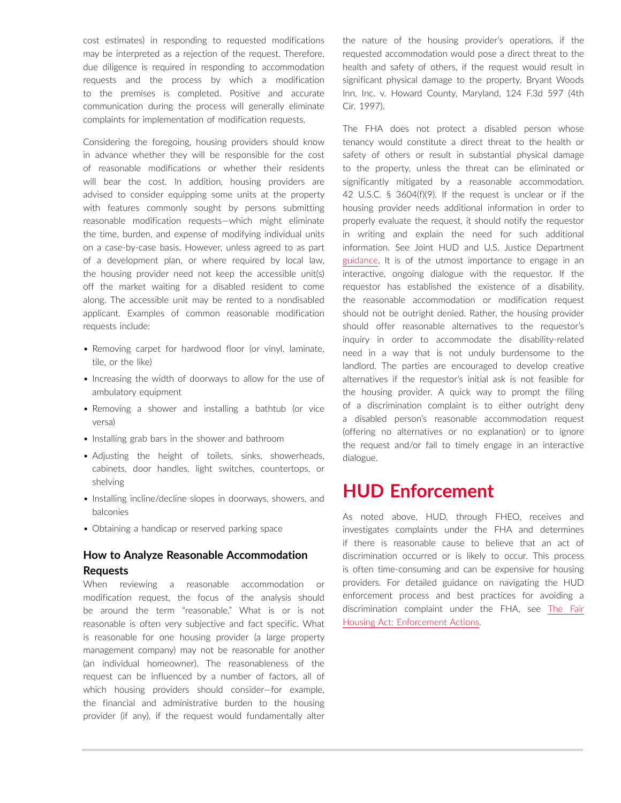cost estimates) in responding to requested modifications may be interpreted as a rejection of the request. Therefore, due diligence is required in responding to accommodation requests and the process by which a modification to the premises is completed. Positive and accurate communication during the process will generally eliminate complaints for implementation of modification requests.

Considering the foregoing, housing providers should know in advance whether they will be responsible for the cost of reasonable modifications or whether their residents will bear the cost. In addition, housing providers are advised to consider equipping some units at the property with features commonly sought by persons submitting reasonable modification requests—which might eliminate the time, burden, and expense of modifying individual units on a case-by-case basis. However, unless agreed to as part of a development plan, or where required by local law, the housing provider need not keep the accessible unit(s) off the market waiting for a disabled resident to come along. The accessible unit may be rented to a nondisabled applicant. Examples of common reasonable modification requests include:

- Removing carpet for hardwood floor (or vinyl, laminate, tile, or the like)
- Increasing the width of doorways to allow for the use of ambulatory equipment
- Removing a shower and installing a bathtub (or vice versa)
- Installing grab bars in the shower and bathroom
- Adjusting the height of toilets, sinks, showerheads, cabinets, door handles, light switches, countertops, or shelving
- Installing incline/decline slopes in doorways, showers, and balconies
- Obtaining a handicap or reserved parking space

# **How to Analyze Reasonable Accommodation Requests**

When reviewing a reasonable accommodation or modification request, the focus of the analysis should be around the term "reasonable." What is or is not reasonable is often very subjective and fact specific. What is reasonable for one housing provider (a large property management company) may not be reasonable for another (an individual homeowner). The reasonableness of the request can be influenced by a number of factors, all of which housing providers should consider—for example, the financial and administrative burden to the housing provider (if any), if the request would fundamentally alter the nature of the housing provider's operations, if the requested accommodation would pose a direct threat to the health and safety of others, if the request would result in significant physical damage to the property. Bryant Woods Inn, Inc. v. Howard County, Maryland, 124 F.3d 597 (4th Cir. 1997).

The FHA does not protect a disabled person whose tenancy would constitute a direct threat to the health or safety of others or result in substantial physical damage to the property, unless the threat can be eliminated or significantly mitigated by a reasonable accommodation. 42 U.S.C. § 3604(f)(9). If the request is unclear or if the housing provider needs additional information in order to properly evaluate the request, it should notify the requestor in writing and explain the need for such additional information. See Joint HUD and U.S. Justice Department [guidance.](https://www.hud.gov/sites/dfiles/FHEO/documents/reasonable_modifications_mar08.pdf) It is of the utmost importance to engage in an interactive, ongoing dialogue with the requestor. If the requestor has established the existence of a disability, the reasonable accommodation or modification request should not be outright denied. Rather, the housing provider should offer reasonable alternatives to the requestor's inquiry in order to accommodate the disability-related need in a way that is not unduly burdensome to the landlord. The parties are encouraged to develop creative alternatives if the requestor's initial ask is not feasible for the housing provider. A quick way to prompt the filing of a discrimination complaint is to either outright deny a disabled person's reasonable accommodation request (offering no alternatives or no explanation) or to ignore the request and/or fail to timely engage in an interactive dialogue.

# **HUD Enforcement**

As noted above, HUD, through FHEO, receives and investigates complaints under the FHA and determines if there is reasonable cause to believe that an act of discrimination occurred or is likely to occur. This process is often time-consuming and can be expensive for housing providers. For detailed guidance on navigating the HUD enforcement process and best practices for avoiding a discrimination complaint under the FHA, see [The Fair](https://advance.lexis.com/open/document/lpadocument/?pdmfid=1000522&pddocfullpath=%2Fshared%2Fdocument%2Fanalytical-materials%2Furn%3AcontentItem%3A63V3-X4K1-JXG3-X2TK-00000-00&pdcontentcomponentid=500749&pdteaserkey=sr0&pditab=allpods&ecomp=ztrg&earg=sr0) [Housing Act: Enforcement Actions.](https://advance.lexis.com/open/document/lpadocument/?pdmfid=1000522&pddocfullpath=%2Fshared%2Fdocument%2Fanalytical-materials%2Furn%3AcontentItem%3A63V3-X4K1-JXG3-X2TK-00000-00&pdcontentcomponentid=500749&pdteaserkey=sr0&pditab=allpods&ecomp=ztrg&earg=sr0)